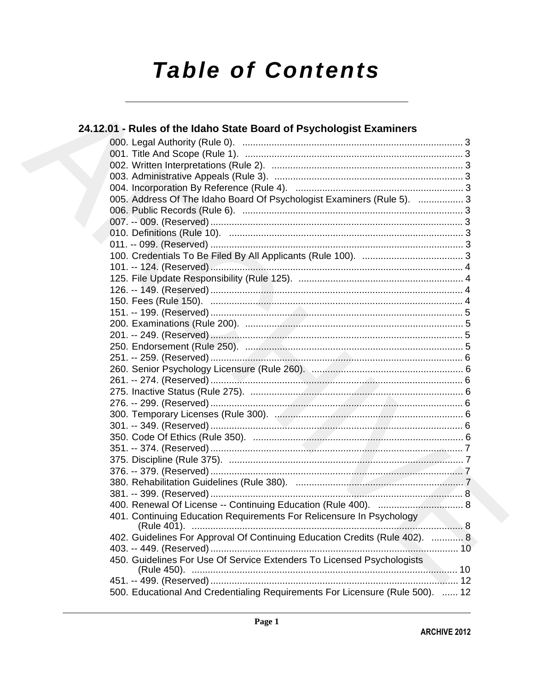# **Table of Contents**

| 24.12.01 - Rules of the Idaho State Board of Psychologist Examiners           |  |
|-------------------------------------------------------------------------------|--|
|                                                                               |  |
|                                                                               |  |
|                                                                               |  |
|                                                                               |  |
|                                                                               |  |
| 005. Address Of The Idaho Board Of Psychologist Examiners (Rule 5).  3        |  |
|                                                                               |  |
|                                                                               |  |
|                                                                               |  |
|                                                                               |  |
|                                                                               |  |
|                                                                               |  |
|                                                                               |  |
|                                                                               |  |
|                                                                               |  |
|                                                                               |  |
|                                                                               |  |
|                                                                               |  |
|                                                                               |  |
|                                                                               |  |
|                                                                               |  |
|                                                                               |  |
|                                                                               |  |
|                                                                               |  |
|                                                                               |  |
|                                                                               |  |
|                                                                               |  |
|                                                                               |  |
|                                                                               |  |
|                                                                               |  |
|                                                                               |  |
|                                                                               |  |
|                                                                               |  |
| 401. Continuing Education Requirements For Relicensure In Psychology          |  |
| 402. Guidelines For Approval Of Continuing Education Credits (Rule 402).  8   |  |
|                                                                               |  |
| 450. Guidelines For Use Of Service Extenders To Licensed Psychologists        |  |
|                                                                               |  |
|                                                                               |  |
| 500. Educational And Credentialing Requirements For Licensure (Rule 500).  12 |  |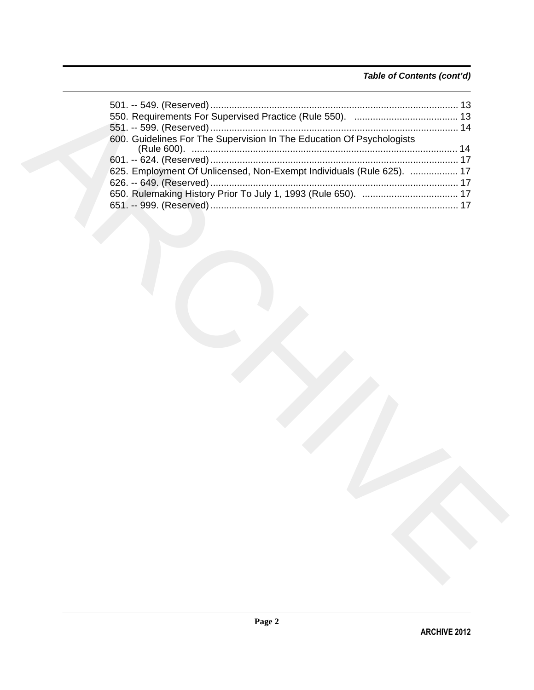### *Table of Contents (cont'd)*

| 600. Guidelines For The Supervision In The Education Of Psychologists |  |
|-----------------------------------------------------------------------|--|
|                                                                       |  |
| 625. Employment Of Unlicensed, Non-Exempt Individuals (Rule 625).  17 |  |
|                                                                       |  |
|                                                                       |  |
|                                                                       |  |
|                                                                       |  |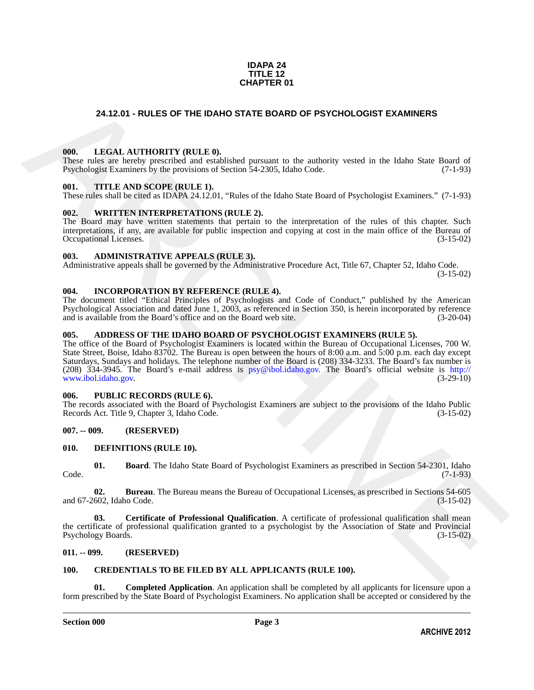### **IDAPA 24 TITLE 12 CHAPTER 01**

### <span id="page-2-0"></span>**24.12.01 - RULES OF THE IDAHO STATE BOARD OF PSYCHOLOGIST EXAMINERS**

#### <span id="page-2-1"></span>**000. LEGAL AUTHORITY (RULE 0).**

These rules are hereby prescribed and established pursuant to the authority vested in the Idaho State Board of Psychologist Examiners by the provisions of Section 54-2305, Idaho Code. (7-1-93)

#### <span id="page-2-2"></span>**001. TITLE AND SCOPE (RULE 1).**

These rules shall be cited as IDAPA 24.12.01, "Rules of the Idaho State Board of Psychologist Examiners." (7-1-93)

### <span id="page-2-3"></span>**002. WRITTEN INTERPRETATIONS (RULE 2).**

The Board may have written statements that pertain to the interpretation of the rules of this chapter. Such interpretations, if any, are available for public inspection and copying at cost in the main office of the Bureau of Occupational Licenses. (3-15-02) Occupational Licenses.

### <span id="page-2-4"></span>**003. ADMINISTRATIVE APPEALS (RULE 3).**

Administrative appeals shall be governed by the Administrative Procedure Act, Title 67, Chapter 52, Idaho Code.

(3-15-02)

### <span id="page-2-5"></span>**004. INCORPORATION BY REFERENCE (RULE 4).**

The document titled "Ethical Principles of Psychologists and Code of Conduct," published by the American Psychological Association and dated June 1, 2003, as referenced in Section 350, is herein incorporated by reference and is available from the Board's office and on the Board web site.

### <span id="page-2-6"></span>**005. ADDRESS OF THE IDAHO BOARD OF PSYCHOLOGIST EXAMINERS (RULE 5).**

**24.12.01 - RULES OF THE IDAHO STATE BOARD OF PSY[CH](mailto:psy@ibol.idaho.gov)OLOGIST EXAMINERS<br>
1001.** LEGAL AITHYORTY (RIT.E.0).<br>
These interesting the temperature of the signal of the signal properties of the signal of the signal of the signal o The office of the Board of Psychologist Examiners is located within the Bureau of Occupational Licenses, 700 W. State Street, Boise, Idaho 83702. The Bureau is open between the hours of 8:00 a.m. and 5:00 p.m. each day except Saturdays, Sundays and holidays. The telephone number of the Board is (208) 334-3233. The Board's fax number is (208) 334-3945. The Board's e-mail address is psy@ibol.idaho.gov. The Board's official website is http:// www.ibol.idaho.gov. (3-29-10)

#### <span id="page-2-7"></span>**006. PUBLIC RECORDS (RULE 6).**

The records associated with the Board of Psychologist Examiners are subject to the provisions of the Idaho Public Records Act. Title 9, Chapter 3, Idaho Code. (3-15-02)

### <span id="page-2-8"></span>**007. -- 009. (RESERVED)**

#### <span id="page-2-14"></span><span id="page-2-9"></span>**010. DEFINITIONS (RULE 10).**

<span id="page-2-15"></span>**01. Board**. The Idaho State Board of Psychologist Examiners as prescribed in Section 54-2301, Idaho (7-1-93) Code. (7-1-93)

<span id="page-2-16"></span>**02. Bureau**. The Bureau means the Bureau of Occupational Licenses, as prescribed in Sections 54-605 and 67-2602, Idaho Code.

<span id="page-2-17"></span>**03. Certificate of Professional Qualification**. A certificate of professional qualification shall mean the certificate of professional qualification granted to a psychologist by the Association of State and Provincial Psychology Boards. (3-15-02) Psychology Boards.

### <span id="page-2-10"></span>**011. -- 099. (RESERVED)**

### <span id="page-2-13"></span><span id="page-2-12"></span><span id="page-2-11"></span>**100. CREDENTIALS TO BE FILED BY ALL APPLICANTS (RULE 100).**

**Completed Application**. An application shall be completed by all applicants for licensure upon a form prescribed by the State Board of Psychologist Examiners. No application shall be accepted or considered by the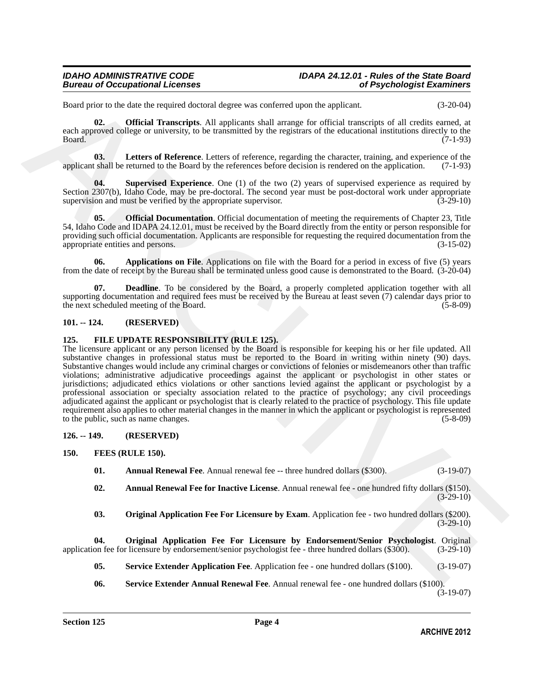Board prior to the date the required doctoral degree was conferred upon the applicant. (3-20-04)

<span id="page-3-8"></span>**02. Official Transcripts**. All applicants shall arrange for official transcripts of all credits earned, at each approved college or university, to be transmitted by the registrars of the educational institutions directly to the  $Board.$  (7-1-93)

<span id="page-3-6"></span>**03. Letters of Reference**. Letters of reference, regarding the character, training, and experience of the applicant shall be returned to the Board by the references before decision is rendered on the application. (7-1-93)

<span id="page-3-9"></span>**04. Supervised Experience**. One (1) of the two (2) years of supervised experience as required by Section 2307(b), Idaho Code, may be pre-doctoral. The second year must be post-doctoral work under appropriate supervision and must be verified by the appropriate supervisior. (3-29-10) supervision and must be verified by the appropriate supervisor.

<span id="page-3-7"></span>**Official Documentation**. Official documentation of meeting the requirements of Chapter 23, Title 54, Idaho Code and IDAPA 24.12.01, must be received by the Board directly from the entity or person responsible for providing such official documentation. Applicants are responsible for requesting the required documentation from the appropriate entities and persons. (3-15-02) appropriate entities and persons.

<span id="page-3-4"></span>**06. Applications on File**. Applications on file with the Board for a period in excess of five (5) years from the date of receipt by the Bureau shall be terminated unless good cause is demonstrated to the Board. (3-20-04)

<span id="page-3-5"></span>**07. Deadline**. To be considered by the Board, a properly completed application together with all supporting documentation and required fees must be received by the Bureau at least seven (7) calendar days prior to<br>(5-8-09) (5-8-09) the next scheduled meeting of the Board.

### <span id="page-3-0"></span>**101. -- 124. (RESERVED)**

### <span id="page-3-1"></span>**125. FILE UPDATE RESPONSIBILITY (RULE 125).**

Beard prior to due the womind degree was conferred in the applicant<br>
Scholar Company and the control of the system and the application of the column of all cost<br>
and hender (Software Transmitter). All proposes the applica The licensure applicant or any person licensed by the Board is responsible for keeping his or her file updated. All substantive changes in professional status must be reported to the Board in writing within ninety (90) days. Substantive changes would include any criminal charges or convictions of felonies or misdemeanors other than traffic violations; administrative adjudicative proceedings against the applicant or psychologist in other states or jurisdictions; adjudicated ethics violations or other sanctions levied against the applicant or psychologist by a professional association or specialty association related to the practice of psychology; any civil proceedings adjudicated against the applicant or psychologist that is clearly related to the practice of psychology. This file update requirement also applies to other material changes in the manner in which the applicant or psychologist is represented to the public, such as name changes. (5-8-09)

### <span id="page-3-2"></span>**126. -- 149. (RESERVED)**

### <span id="page-3-3"></span>**150. FEES (RULE 150).**

<span id="page-3-11"></span><span id="page-3-10"></span>**01.** Annual Renewal Fee. Annual renewal fee -- three hundred dollars (\$300). (3-19-07)

- <span id="page-3-12"></span>**02. Annual Renewal Fee for Inactive License**. Annual renewal fee - one hundred fifty dollars (\$150).  $(3-29-10)$
- <span id="page-3-14"></span><span id="page-3-13"></span>**03. Original Application Fee For Licensure by Exam**. Application fee - two hundred dollars (\$200).  $(3-29-10)$

**04. Original Application Fee For Licensure by Endorsement/Senior Psychologist**. Original application fee for licensure by endorsement/senior psychologist fee - three hundred dollars (\$300). (3-29-10)

- <span id="page-3-16"></span>**05. Service Extender Application Fee**. Application fee - one hundred dollars (\$100). (3-19-07)
- <span id="page-3-15"></span>**06. Service Extender Annual Renewal Fee**. Annual renewal fee - one hundred dollars (\$100).

(3-19-07)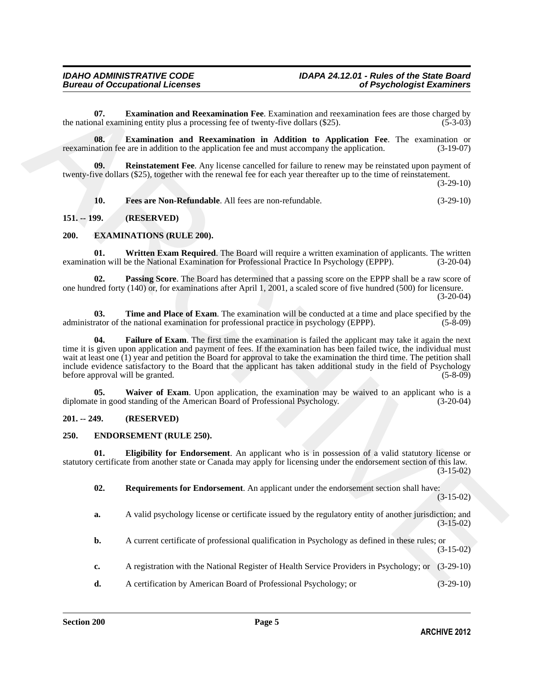<span id="page-4-13"></span>**07. Examination and Reexamination Fee**. Examination and reexamination fees are those charged by nal examining entity plus a processing fee of twenty-five dollars (\$25). the national examining entity plus a processing fee of twenty-five dollars  $(\$25)$ .

<span id="page-4-14"></span>**08. Examination and Reexamination in Addition to Application Fee**. The examination or reexamination fee are in addition to the application fee and must accompany the application. (3-19-07)

<span id="page-4-16"></span>**09. Reinstatement Fee**. Any license cancelled for failure to renew may be reinstated upon payment of twenty-five dollars (\$25), together with the renewal fee for each year thereafter up to the time of reinstatement.

(3-29-10)

<span id="page-4-15"></span><span id="page-4-7"></span>**10. Fees are Non-Refundable**. All fees are non-refundable. (3-29-10)

### <span id="page-4-0"></span>**151. -- 199. (RESERVED)**

### <span id="page-4-1"></span>**200. EXAMINATIONS (RULE 200).**

<span id="page-4-12"></span>**01.** Written Exam Required. The Board will require a written examination of applicants. The written tion will be the National Examination for Professional Practice In Psychology (EPPP). (3-20-04) examination will be the National Examination for Professional Practice In Psychology (EPPP).

<span id="page-4-9"></span>**02. Passing Score**. The Board has determined that a passing score on the EPPP shall be a raw score of one hundred forty (140) or, for examinations after April 1, 2001, a scaled score of five hundred (500) for licensure. (3-20-04)

<span id="page-4-10"></span><span id="page-4-8"></span>**03. Time and Place of Exam**. The examination will be conducted at a time and place specified by the rational examination for professional practice in psychology (EPPP). (5-8-09) administrator of the national examination for professional practice in psychology (EPPP).

67. Examination and Recursion free. Examination at resumerization free. we show charged by<br>
the same of the system by entry processing fits of two<br>system of the system of the system of the system of the system of the<br>
ARC **04. Failure of Exam**. The first time the examination is failed the applicant may take it again the next time it is given upon application and payment of fees. If the examination has been failed twice, the individual must wait at least one (1) year and petition the Board for approval to take the examination the third time. The petition shall include evidence satisfactory to the Board that the applicant has taken additional study in the field of Psychology<br>(5-8-09) before approval will be granted. before approval will be granted.

<span id="page-4-11"></span>**05.** Waiver of Exam. Upon application, the examination may be waived to an applicant who is a e in good standing of the American Board of Professional Psychology. (3-20-04) diplomate in good standing of the American Board of Professional Psychology.

### <span id="page-4-2"></span>**201. -- 249. (RESERVED)**

### <span id="page-4-4"></span><span id="page-4-3"></span>**250. ENDORSEMENT (RULE 250).**

**01. Eligibility for Endorsement**. An applicant who is in possession of a valid statutory license or statutory certificate from another state or Canada may apply for licensing under the endorsement section of this law. (3-15-02)

<span id="page-4-6"></span><span id="page-4-5"></span>**02. Requirements for Endorsement**. An applicant under the endorsement section shall have: (3-15-02)

- **a.** A valid psychology license or certificate issued by the regulatory entity of another jurisdiction; and (3-15-02)
- **b.** A current certificate of professional qualification in Psychology as defined in these rules; or (3-15-02)
- **c.** A registration with the National Register of Health Service Providers in Psychology; or (3-29-10)
- **d.** A certification by American Board of Professional Psychology; or (3-29-10)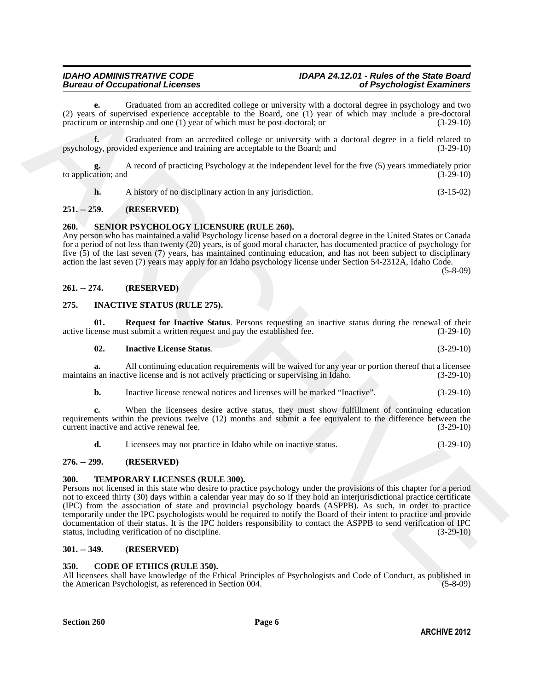**e.** Graduated from an accredited college or university with a doctoral degree in psychology and two (2) years of supervised experience acceptable to the Board, one (1) year of which may include a pre-doctoral practicum or internship and one (1) year of which must be post-doctoral; or (3-29-10)

**f.** Graduated from an accredited college or university with a doctoral degree in a field related to psychology, provided experience and training are acceptable to the Board; and (3-29-10)

**g.** A record of practicing Psychology at the independent level for the five (5) years immediately prior to application; and

<span id="page-5-12"></span>**h.** A history of no disciplinary action in any jurisdiction. (3-15-02)

### <span id="page-5-0"></span>**251. -- 259. (RESERVED)**

### <span id="page-5-1"></span>**260. SENIOR PSYCHOLOGY LICENSURE (RULE 260).**

Any person who has maintained a valid Psychology license based on a doctoral degree in the United States or Canada for a period of not less than twenty (20) years, is of good moral character, has documented practice of psychology for five (5) of the last seven (7) years, has maintained continuing education, and has not been subject to disciplinary action the last seven (7) years may apply for an Idaho psychology license under Section 54-2312A, Idaho Code. (5-8-09)

### <span id="page-5-2"></span>**261. -- 274. (RESERVED)**

### <span id="page-5-9"></span><span id="page-5-3"></span>**275. INACTIVE STATUS (RULE 275).**

**01. Request for Inactive Status**. Persons requesting an inactive status during the renewal of their renewal of their renewal of their  $(3-29-10)$ active license must submit a written request and pay the established fee.

#### <span id="page-5-11"></span><span id="page-5-10"></span>**02. Inactive License Status**. (3-29-10)

**a.** All continuing education requirements will be waived for any year or portion thereof that a licensee s an inactive license and is not actively practicing or supervising in Idaho.  $(3-29-10)$ maintains an inactive license and is not actively practicing or supervising in Idaho.

**b.** Inactive license renewal notices and licenses will be marked "Inactive". (3-29-10)

**c.** When the licensees desire active status, they must show fulfillment of continuing education requirements within the previous twelve (12) months and submit a fee equivalent to the difference between the current inactive and active renewal fee. (3-29-10) current inactive and active renewal fee.

<span id="page-5-13"></span>**d.** Licensees may not practice in Idaho while on inactive status. (3-29-10)

### <span id="page-5-4"></span>**276. -- 299. (RESERVED)**

### <span id="page-5-5"></span>**300. TEMPORARY LICENSES (RULE 300).**

(2) years of Greatested from an exercision change or university with a decrease in poychalogy and two properties approximation of the state of the state of the state of the state of the state of the state of the state of Persons not licensed in this state who desire to practice psychology under the provisions of this chapter for a period not to exceed thirty (30) days within a calendar year may do so if they hold an interjurisdictional practice certificate (IPC) from the association of state and provincial psychology boards (ASPPB). As such, in order to practice temporarily under the IPC psychologists would be required to notify the Board of their intent to practice and provide documentation of their status. It is the IPC holders responsibility to contact the ASPPB to send verification of IPC<br>status, including verification of no discipline. (3-29-10) status, including verification of no discipline.

### <span id="page-5-6"></span>**301. -- 349. (RESERVED)**

### <span id="page-5-8"></span><span id="page-5-7"></span>**350. CODE OF ETHICS (RULE 350).**

All licensees shall have knowledge of the Ethical Principles of Psychologists and Code of Conduct, as published in the American Psychologist, as referenced in Section 004. the American Psychologist, as referenced in Section 004.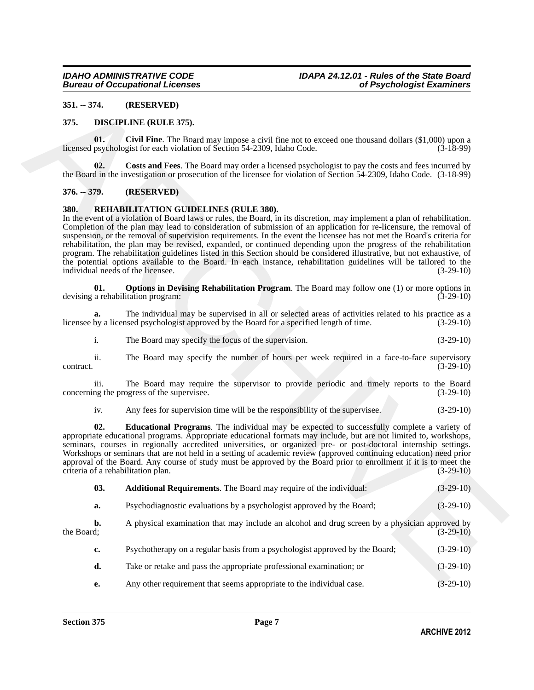### <span id="page-6-0"></span>**351. -- 374. (RESERVED)**

### <span id="page-6-4"></span><span id="page-6-1"></span>**375. DISCIPLINE (RULE 375).**

<span id="page-6-5"></span>**01.** Civil Fine. The Board may impose a civil fine not to exceed one thousand dollars (\$1,000) upon a psychologist for each violation of Section 54-2309, Idaho Code. (3-18-99) licensed psychologist for each violation of Section 54-2309, Idaho Code.

<span id="page-6-6"></span>**02. Costs and Fees**. The Board may order a licensed psychologist to pay the costs and fees incurred by the Board in the investigation or prosecution of the licensee for violation of Section 54-2309, Idaho Code. (3-18-99)

### <span id="page-6-2"></span>**376. -- 379. (RESERVED)**

### <span id="page-6-7"></span><span id="page-6-3"></span>**380. REHABILITATION GUIDELINES (RULE 380).**

351. J. M. (RESERVED)<br>
375. INSCRETING (RELATIONS).<br>
1875. INSCRETING (RELATIONS).<br>
1876. INSCRETING (RELATIONS) (Control interviewe in civil discussed pyrchoiceled in particle control is (31.00) in<br>
1876. IS (31.00) and In the event of a violation of Board laws or rules, the Board, in its discretion, may implement a plan of rehabilitation. Completion of the plan may lead to consideration of submission of an application for re-licensure, the removal of suspension, or the removal of supervision requirements. In the event the licensee has not met the Board's criteria for rehabilitation, the plan may be revised, expanded, or continued depending upon the progress of the rehabilitation program. The rehabilitation guidelines listed in this Section should be considered illustrative, but not exhaustive, of the potential options available to the Board. In each instance, rehabilitation guidelines will be tailored to the individual needs of the licensee. (3-29-10) individual needs of the licensee.

<span id="page-6-10"></span>**01. Options in Devising Rehabilitation Program**. The Board may follow one (1) or more options in a rehabilitation program: (3-29-10) devising a rehabilitation program:

**a.** The individual may be supervised in all or selected areas of activities related to his practice as a by a licensed psychologist approved by the Board for a specified length of time.  $(3-29-10)$ licensee by a licensed psychologist approved by the Board for a specified length of time.

i. The Board may specify the focus of the supervision. (3-29-10)

ii. The Board may specify the number of hours per week required in a face-to-face supervisory contract. (3-29-10)

iii. The Board may require the supervisor to provide periodic and timely reports to the Board ng the progress of the supervisee. (3-29-10) concerning the progress of the supervisee.

<span id="page-6-9"></span>iv. Any fees for supervision time will be the responsibility of the supervisee. (3-29-10)

**02. Educational Programs**. The individual may be expected to successfully complete a variety of appropriate educational programs. Appropriate educational formats may include, but are not limited to, workshops, seminars, courses in regionally accredited universities, or organized pre- or post-doctoral internship settings. Workshops or seminars that are not held in a setting of academic review (approved continuing education) need prior approval of the Board. Any course of study must be approved by the Board prior to enrollment if it is to meet the criteria of a rehabilitation plan. (3-29-10)

- <span id="page-6-8"></span>**03. Additional Requirements**. The Board may require of the individual: (3-29-10)
- **a.** Psychodiagnostic evaluations by a psychologist approved by the Board; (3-29-10)
- **b.** A physical examination that may include an alcohol and drug screen by a physician approved by the Board; (3-29-10) the Board;  $(3-29-10)$ 
	- **c.** Psychotherapy on a regular basis from a psychologist approved by the Board; (3-29-10)
	- **d.** Take or retake and pass the appropriate professional examination; or (3-29-10)
	- **e.** Any other requirement that seems appropriate to the individual case. (3-29-10)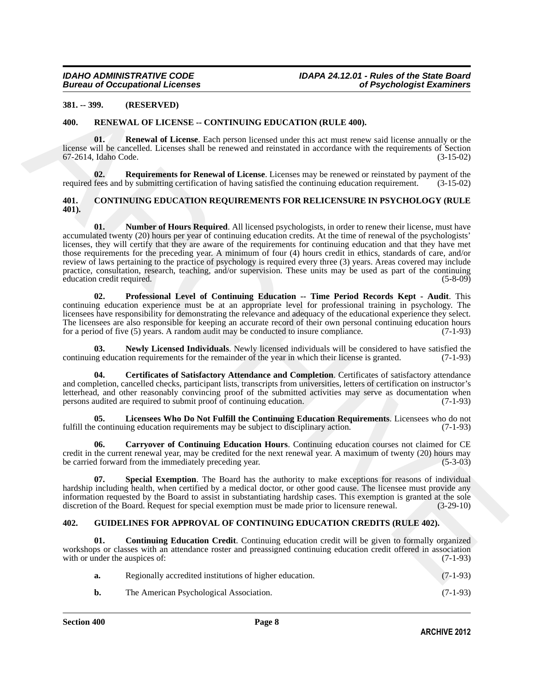### <span id="page-7-0"></span>**381. -- 399. (RESERVED)**

### <span id="page-7-14"></span><span id="page-7-1"></span>**400. RENEWAL OF LICENSE -- CONTINUING EDUCATION (RULE 400).**

<span id="page-7-15"></span>**01. Renewal of License**. Each person licensed under this act must renew said license annually or the license will be cancelled. Licenses shall be renewed and reinstated in accordance with the requirements of Section 67-2614. Idaho Code. (3-15-02) 67-2614, Idaho Code.

<span id="page-7-16"></span>**02. Requirements for Renewal of License**. Licenses may be renewed or reinstated by payment of the required fees and by submitting certification of having satisfied the continuing education requirement. (3-15-02)

### <span id="page-7-9"></span><span id="page-7-4"></span><span id="page-7-2"></span>**401. CONTINUING EDUCATION REQUIREMENTS FOR RELICENSURE IN PSYCHOLOGY (RULE 401).**

381. - 399. (RESTRVED)<br> **461.** RENEWAT CO FINESTING PRICATION (RETR 440).<br> **461.** RENEWAT CO FINESTING PRICATION (RETR 440).<br> **461.** RENEWAT CONTINUES TRANSPORT INTO THE INTERFERICATION (RETR 440).<br> **462.** SOLULARISTS AND **01.** Number of Hours Required. All licensed psychologists, in order to renew their license, must have accumulated twenty (20) hours per year of continuing education credits. At the time of renewal of the psychologists' licenses, they will certify that they are aware of the requirements for continuing education and that they have met those requirements for the preceding year. A minimum of four (4) hours credit in ethics, standards of care, and/or review of laws pertaining to the practice of psychology is required every three (3) years. Areas covered may include practice, consultation, research, teaching, and/or supervision. These units may be used as part of the continuing education credit required. (5-8-09) education credit required.

<span id="page-7-10"></span>**02. Professional Level of Continuing Education -- Time Period Records Kept - Audit**. This continuing education experience must be at an appropriate level for professional training in psychology. The licensees have responsibility for demonstrating the relevance and adequacy of the educational experience they select. The licensees are also responsible for keeping an accurate record of their own personal continuing education hours for a period of five (5) years. A random audit may be conducted to insure compliance. (7-1-93) for a period of five  $(5)$  years. A random audit may be conducted to insure compliance.

<span id="page-7-8"></span>**03. Newly Licensed Individuals**. Newly licensed individuals will be considered to have satisfied the continuing education requirements for the remainder of the year in which their license is granted. (7-1-93)

<span id="page-7-6"></span>**04. Certificates of Satisfactory Attendance and Completion**. Certificates of satisfactory attendance and completion, cancelled checks, participant lists, transcripts from universities, letters of certification on instructor's letterhead, and other reasonably convincing proof of the submitted activities may serve as documentation when persons audited are required to submit proof of continuing education. (7-1-93) persons audited are required to submit proof of continuing education.

<span id="page-7-7"></span>**05. Licensees Who Do Not Fulfill the Continuing Education Requirements**. Licensees who do not e continuing education requirements may be subject to disciplinary action. (7-1-93) fulfill the continuing education requirements may be subject to disciplinary action.

<span id="page-7-5"></span>**06. Carryover of Continuing Education Hours**. Continuing education courses not claimed for CE credit in the current renewal year, may be credited for the next renewal year. A maximum of twenty (20) hours may be carried forward from the immediately preceding year. be carried forward from the immediately preceding year.

<span id="page-7-11"></span>**07. Special Exemption**. The Board has the authority to make exceptions for reasons of individual hardship including health, when certified by a medical doctor, or other good cause. The licensee must provide any information requested by the Board to assist in substantiating hardship cases. This exemption is granted at the sole discretion of the Board. Request for special exemption must be made prior to licensure renewal. (3-29-10) discretion of the Board. Request for special exemption must be made prior to licensure renewal.

### <span id="page-7-12"></span><span id="page-7-3"></span>**402. GUIDELINES FOR APPROVAL OF CONTINUING EDUCATION CREDITS (RULE 402).**

**01. Continuing Education Credit**. Continuing education credit will be given to formally organized workshops or classes with an attendance roster and preassigned continuing education credit offered in association with or under the auspices of: (7-1-93) with or under the auspices of:

<span id="page-7-13"></span>

| а. | Regionally accredited institutions of higher education. | $(7-1-93)$ |
|----|---------------------------------------------------------|------------|
|    | The American Psychological Association.                 | $(7-1-93)$ |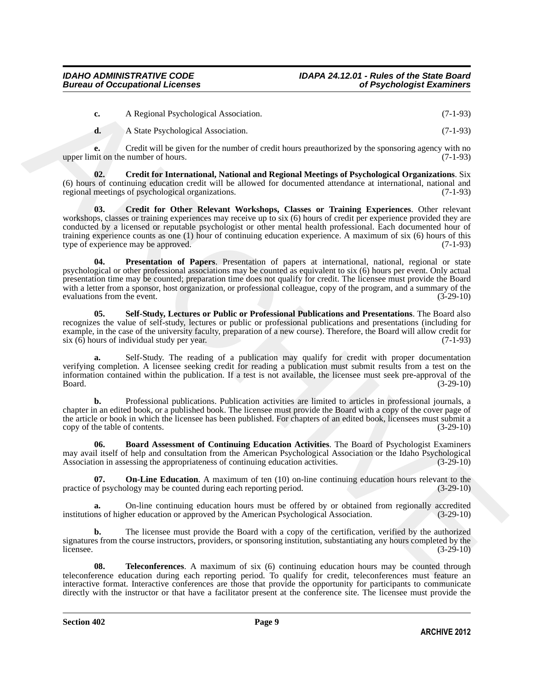| A Regional Psychological Association. | $(7-1-93)$ |
|---------------------------------------|------------|
|                                       |            |

<span id="page-8-1"></span>**d.** A State Psychological Association. (7-1-93)

**e.** Credit will be given for the number of credit hours preauthorized by the sponsoring agency with no nit on the number of hours. (7-1-93) upper limit on the number of hours.

<span id="page-8-2"></span>**02. Credit for International, National and Regional Meetings of Psychological Organizations**. Six (6) hours of continuing education credit will be allowed for documented attendance at international, national and regional meetings of psychological organizations.

C - A Regional Psychological Association.<br>
C -1 93)<br>
A Successive discussions (7-1-93)<br>  $\frac{1}{2}$  A Successive discussions (7-1-93)<br>
Were land on the mather of house, note the mather of income of credit bound psychologica **03. Credit for Other Relevant Workshops, Classes or Training Experiences**. Other relevant workshops, classes or training experiences may receive up to six (6) hours of credit per experience provided they are conducted by a licensed or reputable psychologist or other mental health professional. Each documented hour of training experience counts as one (1) hour of continuing education experience. A maximum of six (6) hours of this type of experience may be approved. (7-1-93) type of experience may be approved.

<span id="page-8-4"></span>**Presentation of Papers**. Presentation of papers at international, national, regional or state psychological or other professional associations may be counted as equivalent to six (6) hours per event. Only actual presentation time may be counted; preparation time does not qualify for credit. The licensee must provide the Board with a letter from a sponsor, host organization, or professional colleague, copy of the program, and a summary of the evaluations from the event. (3-29-10) evaluations from the event.

<span id="page-8-5"></span>**05. Self-Study, Lectures or Public or Professional Publications and Presentations**. The Board also recognizes the value of self-study, lectures or public or professional publications and presentations (including for example, in the case of the university faculty, preparation of a new course). Therefore, the Board will allow credit for six (6) hours of individual study per year. (7-1-93)  $s$ ix  $(6)$  hours of individual study per year.

**a.** Self-Study. The reading of a publication may qualify for credit with proper documentation verifying completion. A licensee seeking credit for reading a publication must submit results from a test on the information contained within the publication. If a test is not available, the licensee must seek pre-approval of the  $Board.$  (3-29-10)

**b.** Professional publications. Publication activities are limited to articles in professional journals, a chapter in an edited book, or a published book. The licensee must provide the Board with a copy of the cover page of the article or book in which the licensee has been published. For chapters of an edited book, licensees must submit a copy of the table of contents. (3-29-10) copy of the table of contents.

<span id="page-8-0"></span>**06. Board Assessment of Continuing Education Activities**. The Board of Psychologist Examiners may avail itself of help and consultation from the American Psychological Association or the Idaho Psychological<br>Association in assessing the appropriateness of continuing education activities. (3-29-10) Association in assessing the appropriateness of continuing education activities.

<span id="page-8-3"></span>**07. On-Line Education**. A maximum of ten (10) on-line continuing education hours relevant to the of psychology may be counted during each reporting period. (3-29-10) practice of psychology may be counted during each reporting period.

**a.** On-line continuing education hours must be offered by or obtained from regionally accredited institutions of higher education or approved by the American Psychological Association. (3-29-10)

**b.** The licensee must provide the Board with a copy of the certification, verified by the authorized signatures from the course instructors, providers, or sponsoring institution, substantiating any hours completed by the  $l$  licensee.  $(3-29-10)$ 

<span id="page-8-6"></span>**08.** Teleconferences. A maximum of six (6) continuing education hours may be counted through teleconference education during each reporting period. To qualify for credit, teleconferences must feature an interactive format. Interactive conferences are those that provide the opportunity for participants to communicate directly with the instructor or that have a facilitator present at the conference site. The licensee must provide the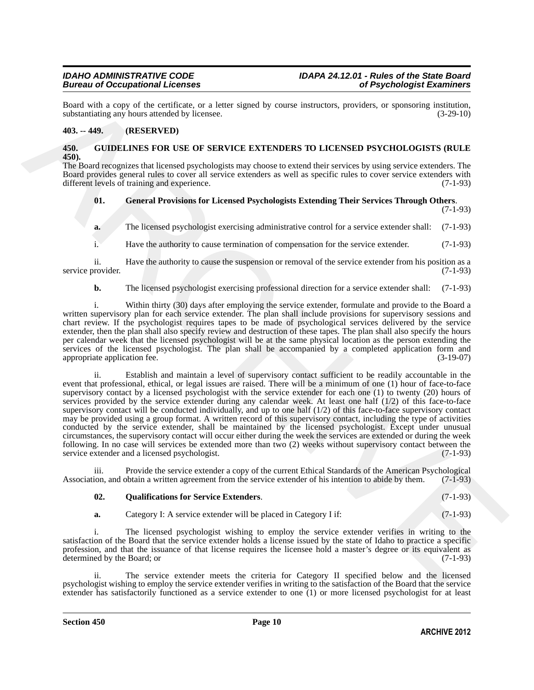Board with a copy of the certificate, or a letter signed by course instructors, providers, or sponsoring institution, substantiating any hours attended by licensee. substantiating any hours attended by licensee.

### <span id="page-9-0"></span>**403. -- 449. (RESERVED)**

### <span id="page-9-2"></span><span id="page-9-1"></span>**450. GUIDELINES FOR USE OF SERVICE EXTENDERS TO LICENSED PSYCHOLOGISTS (RULE 450).**

The Board recognizes that licensed psychologists may choose to extend their services by using service extenders. The Board provides general rules to cover all service extenders as well as specific rules to cover service extenders with different levels of training and experience. (7-1-93)

#### <span id="page-9-3"></span>**01. General Provisions for Licensed Psychologists Extending Their Services Through Others**. (7-1-93)

**a.** The licensed psychologist exercising administrative control for a service extender shall: (7-1-93)

i. Have the authority to cause termination of compensation for the service extender. (7-1-93)

ii. Have the authority to cause the suspension or removal of the service extender from his position as a provider. (7-1-93) service provider.

**b.** The licensed psychologist exercising professional direction for a service extender shall: (7-1-93)

i. Within thirty (30) days after employing the service extender, formulate and provide to the Board a written supervisory plan for each service extender. The plan shall include provisions for supervisory sessions and chart review. If the psychologist requires tapes to be made of psychological services delivered by the service extender, then the plan shall also specify review and destruction of these tapes. The plan shall also specify the hours per calendar week that the licensed psychologist will be at the same physical location as the person extending the services of the licensed psychologist. The plan shall be accompanied by a completed application form and appropriate application fee. (3-19-07) (3-19-07)

Reach since a proper of the centrer of methods. The thermal states in the state of the centre of the centre of the centre of the centre of the centre of the centre of the centre of the centre of the centre of the centre o ii. Establish and maintain a level of supervisory contact sufficient to be readily accountable in the event that professional, ethical, or legal issues are raised. There will be a minimum of one (1) hour of face-to-face supervisory contact by a licensed psychologist with the service extender for each one (1) to twenty (20) hours of services provided by the service extender during any calendar week. At least one half (1/2) of this face-to-face supervisory contact will be conducted individually, and up to one half (1/2) of this face-to-face supervisory contact may be provided using a group format. A written record of this supervisory contact, including the type of activities conducted by the service extender, shall be maintained by the licensed psychologist. Except under unusual circumstances, the supervisory contact will occur either during the week the services are extended or during the week following. In no case will services be extended more than two (2) weeks without supervisory contact between the service extender and a licensed psychologist. (7-1-93) service extender and a licensed psychologist.

iii. Provide the service extender a copy of the current Ethical Standards of the American Psychological ion, and obtain a written agreement from the service extender of his intention to abide by them. (7-1-93) Association, and obtain a written agreement from the service extender of his intention to abide by them.

### <span id="page-9-4"></span>**02. Qualifications for Service Extenders**. (7-1-93)

**a.** Category I: A service extender will be placed in Category I if: (7-1-93)

i. The licensed psychologist wishing to employ the service extender verifies in writing to the satisfaction of the Board that the service extender holds a license issued by the state of Idaho to practice a specific profession, and that the issuance of that license requires the licensee hold a master's degree or its equivalent as determined by the Board: or (7-1-93) determined by the Board; or

ii. The service extender meets the criteria for Category II specified below and the licensed psychologist wishing to employ the service extender verifies in writing to the satisfaction of the Board that the service extender has satisfactorily functioned as a service extender to one (1) or more licensed psychologist for at least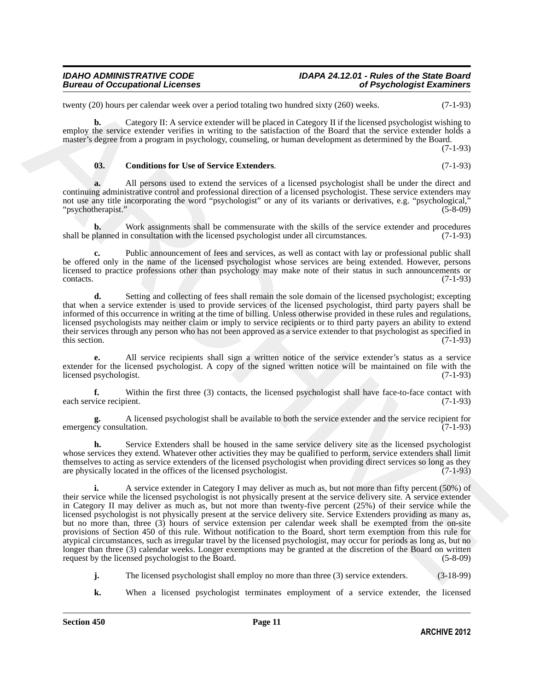### *Bureau of Occupational Licenses of Psychologist Examiners*

twenty (20) hours per calendar week over a period totaling two hundred sixty (260) weeks. (7-1-93)

**b.** Category II: A service extender will be placed in Category II if the licensed psychologist wishing to employ the service extender verifies in writing to the satisfaction of the Board that the service extender holds a master's degree from a program in psychology, counseling, or human development as determined by the Board.

(7-1-93)

### <span id="page-10-0"></span>**03. Conditions for Use of Service Extenders**. (7-1-93)

**a.** All persons used to extend the services of a licensed psychologist shall be under the direct and continuing administrative control and professional direction of a licensed psychologist. These service extenders may not use any title incorporating the word "psychologist" or any of its variants or derivatives, e.g. "psychological,"<br>"psychotherapist." (5-8-09) "psychotherapist."

**b.** Work assignments shall be commensurate with the skills of the service extender and procedures planned in consultation with the licensed psychologist under all circumstances. (7-1-93) shall be planned in consultation with the licensed psychologist under all circumstances.

Public announcement of fees and services, as well as contact with lay or professional public shall be offered only in the name of the licensed psychologist whose services are being extended. However, persons licensed to practice professions other than psychology may make note of their status in such announcements or contacts. (7-1-93)

**d.** Setting and collecting of fees shall remain the sole domain of the licensed psychologist; excepting that when a service extender is used to provide services of the licensed psychologist, third party payers shall be informed of this occurrence in writing at the time of billing. Unless otherwise provided in these rules and regulations, licensed psychologists may neither claim or imply to service recipients or to third party payers an ability to extend their services through any person who has not been approved as a service extender to that psychologist as specified in this section. (7-1-93) this section.  $(7-1-93)$ 

**e.** All service recipients shall sign a written notice of the service extender's status as a service extender for the licensed psychologist. A copy of the signed written notice will be maintained on file with the licensed psychologist. (7-1-93) licensed psychologist.

**f.** Within the first three (3) contacts, the licensed psychologist shall have face-to-face contact with vice recipient. (7-1-93) each service recipient.

**g.** A licensed psychologist shall be available to both the service extender and the service recipient for emergency consultation.

**h.** Service Extenders shall be housed in the same service delivery site as the licensed psychologist whose services they extend. Whatever other activities they may be qualified to perform, service extenders shall limit themselves to acting as service extenders of the licensed psychologist when providing direct services so long as they are physically located in the offices of the licensed psychologist. (7-1-93)

reasery (70) bears are relations to each out a period stating term banded stay (70), weaks and probabilities the main of the stationary of the stationary of the stationary of the stationary of the stationary of the statio **i.** A service extender in Category I may deliver as much as, but not more than fifty percent (50%) of their service while the licensed psychologist is not physically present at the service delivery site. A service extender in Category II may deliver as much as, but not more than twenty-five percent (25%) of their service while the licensed psychologist is not physically present at the service delivery site. Service Extenders providing as many as, but no more than, three (3) hours of service extension per calendar week shall be exempted from the on-site provisions of Section 450 of this rule. Without notification to the Board, short term exemption from this rule for atypical circumstances, such as irregular travel by the licensed psychologist, may occur for periods as long as, but no longer than three (3) calendar weeks. Longer exemptions may be granted at the discretion of the Board on written request by the licensed psychologist to the Board. (5-8-09)

**j.** The licensed psychologist shall employ no more than three (3) service extenders. (3-18-99)

**k.** When a licensed psychologist terminates employment of a service extender, the licensed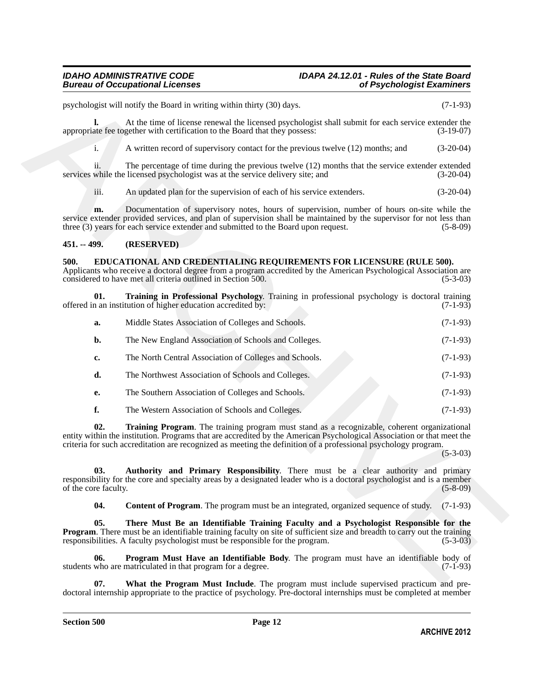# *IDAHO ADMINISTRATIVE CODE IDAPA 24.12.01 - Rules of the State Board*

### <span id="page-11-0"></span>**451. -- 499. (RESERVED)**

### <span id="page-11-8"></span><span id="page-11-7"></span><span id="page-11-2"></span><span id="page-11-1"></span>**500. EDUCATIONAL AND CREDENTIALING REQUIREMENTS FOR LICENSURE (RULE 500).**

|                             | psychologist will notify the Board in writing within thirty (30) days.                                                                                                                                                                                                                                                                   | $(7-1-93)$  |
|-----------------------------|------------------------------------------------------------------------------------------------------------------------------------------------------------------------------------------------------------------------------------------------------------------------------------------------------------------------------------------|-------------|
| l.                          | At the time of license renewal the licensed psychologist shall submit for each service extender the<br>appropriate fee together with certification to the Board that they possess:                                                                                                                                                       | $(3-19-07)$ |
| i.                          | A written record of supervisory contact for the previous twelve (12) months; and                                                                                                                                                                                                                                                         | $(3-20-04)$ |
| 11.                         | The percentage of time during the previous twelve $(12)$ months that the service extender extended<br>services while the licensed psychologist was at the service delivery site; and                                                                                                                                                     | $(3-20-04)$ |
| iii.                        | An updated plan for the supervision of each of his service extenders.                                                                                                                                                                                                                                                                    | $(3-20-04)$ |
| m.                          | Documentation of supervisory notes, hours of supervision, number of hours on-site while the<br>service extender provided services, and plan of supervision shall be maintained by the supervisor for not less than<br>three (3) years for each service extender and submitted to the Board upon request.                                 | $(5-8-09)$  |
| 451. -- 499.                | (RESERVED)                                                                                                                                                                                                                                                                                                                               |             |
| 500.                        | EDUCATIONAL AND CREDENTIALING REQUIREMENTS FOR LICENSURE (RULE 500).<br>Applicants who receive a doctoral degree from a program accredited by the American Psychological Association are<br>considered to have met all criteria outlined in Section 500.                                                                                 | $(5-3-03)$  |
| 01.                         | Training in Professional Psychology. Training in professional psychology is doctoral training<br>offered in an institution of higher education accredited by:                                                                                                                                                                            | $(7-1-93)$  |
| a.                          | Middle States Association of Colleges and Schools.                                                                                                                                                                                                                                                                                       | $(7-1-93)$  |
| $b$ .                       | The New England Association of Schools and Colleges.                                                                                                                                                                                                                                                                                     | $(7-1-93)$  |
| c.                          | The North Central Association of Colleges and Schools.                                                                                                                                                                                                                                                                                   | $(7-1-93)$  |
| d.                          | The Northwest Association of Schools and Colleges.                                                                                                                                                                                                                                                                                       | $(7-1-93)$  |
| е.                          | The Southern Association of Colleges and Schools.                                                                                                                                                                                                                                                                                        | $(7-1-93)$  |
| f.                          | The Western Association of Schools and Colleges.                                                                                                                                                                                                                                                                                         | $(7-1-93)$  |
| 02.                         | Training Program. The training program must stand as a recognizable, coherent organizational<br>entity within the institution. Programs that are accredited by the American Psychological Association or that meet the<br>criteria for such accreditation are recognized as meeting the definition of a professional psychology program. | $(5-3-03)$  |
| 03.<br>of the core faculty. | Authority and Primary Responsibility. There must be a clear authority and primary<br>responsibility for the core and specialty areas by a designated leader who is a doctoral psychologist and is a member                                                                                                                               | $(5-8-09)$  |
| 04.                         | <b>Content of Program.</b> The program must be an integrated, organized sequence of study.                                                                                                                                                                                                                                               | $(7-1-93)$  |
| 05.                         | There Must Be an Identifiable Training Faculty and a Psychologist Responsible for the<br><b>Program.</b> There must be an identifiable training faculty on site of sufficient size and breadth to carry out the training<br>responsibilities. A faculty psychologist must be responsible for the program.                                | $(5-3-03)$  |
| 06.                         | Program Must Have an Identifiable Body. The program must have an identifiable body of<br>students who are matriculated in that program for a degree.                                                                                                                                                                                     | $(7-1-93)$  |
| 07.                         | What the Program Must Include The program must include supervised practicum and pre-                                                                                                                                                                                                                                                     |             |

<span id="page-11-9"></span><span id="page-11-6"></span><span id="page-11-5"></span><span id="page-11-4"></span><span id="page-11-3"></span>**07. What the Program Must Include**. The program must include supervised practicum and predoctoral internship appropriate to the practice of psychology. Pre-doctoral internships must be completed at member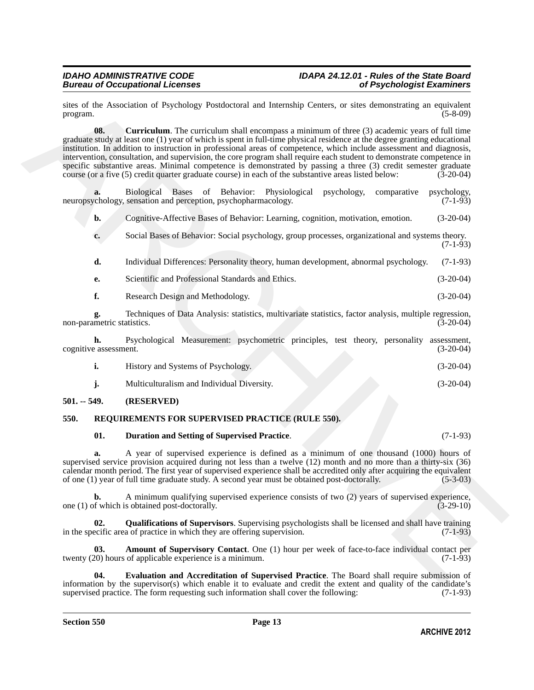<span id="page-12-2"></span>sites of the Association of Psychology Postdoctoral and Internship Centers, or sites demonstrating an equivalent program. (5-8-09) program. (5-8-09)

since of the Association of Psychology Prostocranal and Internsition Centers, re-views deconomizing an optical<br>temperature of the Computer Center of the Association of the Computer of the Computer of the Computer of the C **08. Curriculum**. The curriculum shall encompass a minimum of three (3) academic years of full time graduate study at least one (1) year of which is spent in full-time physical residence at the degree granting educational institution. In addition to instruction in professional areas of competence, which include assessment and diagnosis, intervention, consultation, and supervision, the core program shall require each student to demonstrate competence in specific substantive areas. Minimal competence is demonstrated by passing a three (3) credit semester graduate course (or a five (5) credit quarter graduate course) in each of the substantive areas listed below: (3-20-04)

**a.** Biological Bases of Behavior: Physiological psychology, comparative psychology, ensation and perception, psychopharmacology. (7-1-93) neuropsychology, sensation and perception, psychopharmacology.

**b.** Cognitive-Affective Bases of Behavior: Learning, cognition, motivation, emotion. (3-20-04)

- **c.** Social Bases of Behavior: Social psychology, group processes, organizational and systems theory.  $(7-1-93)$
- **d.** Individual Differences: Personality theory, human development, abnormal psychology. (7-1-93)
- **e.** Scientific and Professional Standards and Ethics. (3-20-04)
- **f.** Research Design and Methodology. (3-20-04)

**g.** Techniques of Data Analysis: statistics, multivariate statistics, factor analysis, multiple regression, metric statistics. (3-20-04) non-parametric statistics.

**h.** Psychological Measurement: psychometric principles, test theory, personality assessment, eassessment. (3-20-04) cognitive assessment.

| History and Systems of Psychology. | $(3-20-04)$ |
|------------------------------------|-------------|
|                                    |             |

**j.** Multiculturalism and Individual Diversity. (3-20-04)

### <span id="page-12-0"></span>**501. -- 549. (RESERVED)**

### <span id="page-12-1"></span>**550. REQUIREMENTS FOR SUPERVISED PRACTICE (RULE 550).**

<span id="page-12-5"></span><span id="page-12-3"></span>**01. Duration and Setting of Supervised Practice**. (7-1-93)

**a.** A year of supervised experience is defined as a minimum of one thousand (1000) hours of supervised service provision acquired during not less than a twelve (12) month and no more than a thirty-six (36) calendar month period. The first year of supervised experience shall be accredited only after acquiring the equivalent of one (1) year of full time graduate study. A second year must be obtained post-doctorally. (5-3-03) of one (1) year of full time graduate study. A second year must be obtained post-doctorally.

**b.** A minimum qualifying supervised experience consists of two (2) years of supervised experience, of which is obtained post-doctorally. one  $(1)$  of which is obtained post-doctorally.

<span id="page-12-7"></span>**02.** Qualifications of Supervisors. Supervising psychologists shall be licensed and shall have training ecific area of practice in which they are offering supervision. (7-1-93) in the specific area of practice in which they are offering supervision.

<span id="page-12-4"></span>**Amount of Supervisory Contact**. One (1) hour per week of face-to-face individual contact per of applicable experience is a minimum. (7-1-93) twenty (20) hours of applicable experience is a minimum.

<span id="page-12-6"></span>**04. Evaluation and Accreditation of Supervised Practice**. The Board shall require submission of information by the supervisor(s) which enable it to evaluate and credit the extent and quality of the candidate's supervised practice. The form requesting such information shall cover the following: (7-1-93) supervised practice. The form requesting such information shall cover the following: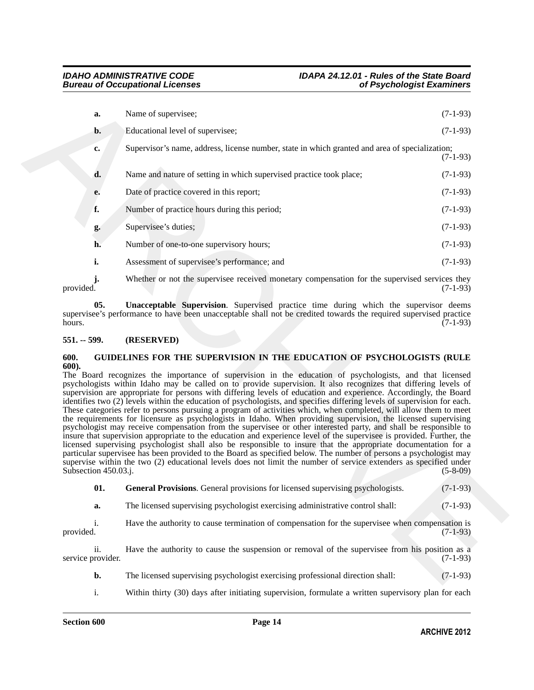| a.                          |                                                                                                                                                                                                                                                                                                                                                                                                                                                                                                                                                                                                                                                                                                                                                                                                                                                                                                                                                                          |                |
|-----------------------------|--------------------------------------------------------------------------------------------------------------------------------------------------------------------------------------------------------------------------------------------------------------------------------------------------------------------------------------------------------------------------------------------------------------------------------------------------------------------------------------------------------------------------------------------------------------------------------------------------------------------------------------------------------------------------------------------------------------------------------------------------------------------------------------------------------------------------------------------------------------------------------------------------------------------------------------------------------------------------|----------------|
|                             | Name of supervisee;                                                                                                                                                                                                                                                                                                                                                                                                                                                                                                                                                                                                                                                                                                                                                                                                                                                                                                                                                      | $(7-1-93)$     |
| b.                          | Educational level of supervisee;                                                                                                                                                                                                                                                                                                                                                                                                                                                                                                                                                                                                                                                                                                                                                                                                                                                                                                                                         | $(7-1-93)$     |
| c.                          | Supervisor's name, address, license number, state in which granted and area of specialization;                                                                                                                                                                                                                                                                                                                                                                                                                                                                                                                                                                                                                                                                                                                                                                                                                                                                           | $(7-1-93)$     |
| d.                          | Name and nature of setting in which supervised practice took place;                                                                                                                                                                                                                                                                                                                                                                                                                                                                                                                                                                                                                                                                                                                                                                                                                                                                                                      | $(7-1-93)$     |
| e.                          | Date of practice covered in this report;                                                                                                                                                                                                                                                                                                                                                                                                                                                                                                                                                                                                                                                                                                                                                                                                                                                                                                                                 | $(7-1-93)$     |
| f.                          | Number of practice hours during this period;                                                                                                                                                                                                                                                                                                                                                                                                                                                                                                                                                                                                                                                                                                                                                                                                                                                                                                                             | $(7-1-93)$     |
| g.                          | Supervisee's duties;                                                                                                                                                                                                                                                                                                                                                                                                                                                                                                                                                                                                                                                                                                                                                                                                                                                                                                                                                     | $(7-1-93)$     |
| h.                          | Number of one-to-one supervisory hours;                                                                                                                                                                                                                                                                                                                                                                                                                                                                                                                                                                                                                                                                                                                                                                                                                                                                                                                                  | $(7-1-93)$     |
| i.                          | Assessment of supervisee's performance; and                                                                                                                                                                                                                                                                                                                                                                                                                                                                                                                                                                                                                                                                                                                                                                                                                                                                                                                              | $(7-1-93)$     |
| j.<br>provided.             | Whether or not the supervisee received monetary compensation for the supervised services they                                                                                                                                                                                                                                                                                                                                                                                                                                                                                                                                                                                                                                                                                                                                                                                                                                                                            | $(7-1-93)$     |
| 05.<br>hours.               | <b>Unacceptable Supervision.</b> Supervised practice time during which the supervisor deems<br>supervisee's performance to have been unacceptable shall not be credited towards the required supervised practice                                                                                                                                                                                                                                                                                                                                                                                                                                                                                                                                                                                                                                                                                                                                                         | $(7-1-93)$     |
| $551. - 599.$               | (RESERVED)                                                                                                                                                                                                                                                                                                                                                                                                                                                                                                                                                                                                                                                                                                                                                                                                                                                                                                                                                               |                |
| 600.<br>600).               | GUIDELINES FOR THE SUPERVISION IN THE EDUCATION OF PSYCHOLOGISTS (RULE<br>The Board recognizes the importance of supervision in the education of psychologists, and that licensed<br>psychologists within Idaho may be called on to provide supervision. It also recognizes that differing levels of<br>supervision are appropriate for persons with differing levels of education and experience. Accordingly, the Board                                                                                                                                                                                                                                                                                                                                                                                                                                                                                                                                                |                |
| Subsection 450.03.j.        | identifies two (2) levels within the education of psychologists, and specifies differing levels of supervision for each.<br>These categories refer to persons pursuing a program of activities which, when completed, will allow them to meet<br>the requirements for licensure as psychologists in Idaho. When providing supervision, the licensed supervising<br>psychologist may receive compensation from the supervisee or other interested party, and shall be responsible to<br>insure that supervision appropriate to the education and experience level of the supervisee is provided. Further, the<br>licensed supervising psychologist shall also be responsible to insure that the appropriate documentation for a<br>particular supervisee has been provided to the Board as specified below. The number of persons a psychologist may<br>supervise within the two (2) educational levels does not limit the number of service extenders as specified under | $(5 - 8 - 09)$ |
| 01.                         | <b>General Provisions.</b> General provisions for licensed supervising psychologists.                                                                                                                                                                                                                                                                                                                                                                                                                                                                                                                                                                                                                                                                                                                                                                                                                                                                                    | $(7-1-93)$     |
| a.                          | The licensed supervising psychologist exercising administrative control shall:                                                                                                                                                                                                                                                                                                                                                                                                                                                                                                                                                                                                                                                                                                                                                                                                                                                                                           | $(7-1-93)$     |
| $\mathbf{i}$ .<br>provided. | Have the authority to cause termination of compensation for the supervisee when compensation is                                                                                                                                                                                                                                                                                                                                                                                                                                                                                                                                                                                                                                                                                                                                                                                                                                                                          | $(7-1-93)$     |
| ii.<br>service provider.    | Have the authority to cause the suspension or removal of the supervisee from his position as a                                                                                                                                                                                                                                                                                                                                                                                                                                                                                                                                                                                                                                                                                                                                                                                                                                                                           | $(7-1-93)$     |
| b.                          | The licensed supervising psychologist exercising professional direction shall:                                                                                                                                                                                                                                                                                                                                                                                                                                                                                                                                                                                                                                                                                                                                                                                                                                                                                           | $(7-1-93)$     |

### <span id="page-13-4"></span><span id="page-13-0"></span>**551. -- 599. (RESERVED)**

### <span id="page-13-2"></span><span id="page-13-1"></span>**600. GUIDELINES FOR THE SUPERVISION IN THE EDUCATION OF PSYCHOLOGISTS (RULE 600).**

- <span id="page-13-3"></span>**b.** The licensed supervising psychologist exercising professional direction shall: (7-1-93)
- i. Within thirty (30) days after initiating supervision, formulate a written supervisory plan for each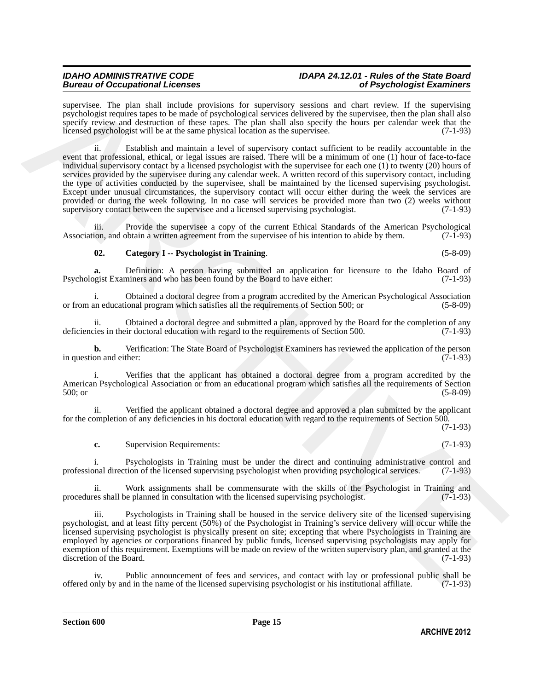# *IDAHO ADMINISTRATIVE CODE IDAPA 24.12.01 - Rules of the State Board*

supervisee. The plan shall include provisions for supervisory sessions and chart review. If the supervising psychologist requires tapes to be made of psychological services delivered by the supervisee, then the plan shall also specify review and destruction of these tapes. The plan shall also specify the hours per calendar week that the licensed psychologist will be at the same physical location as the supervisee. (7-1-93)

apperias. The plan deal Tachter provident for upperium and chan review (f) the planetic spectral and the planetic spectral and the spectral and the spectral and the spectral and the spectral and the spectral and the spect ii. Establish and maintain a level of supervisory contact sufficient to be readily accountable in the event that professional, ethical, or legal issues are raised. There will be a minimum of one (1) hour of face-to-face individual supervisory contact by a licensed psychologist with the supervisee for each one (1) to twenty (20) hours of services provided by the supervisee during any calendar week. A written record of this supervisory contact, including the type of activities conducted by the supervisee, shall be maintained by the licensed supervising psychologist. Except under unusual circumstances, the supervisory contact will occur either during the week the services are provided or during the week following. In no case will services be provided more than two (2) weeks without supervisory contact between the supervise and a licensed supervising psychologist. (7-1-93) supervisory contact between the supervisee and a licensed supervising psychologist.

iii. Provide the supervisee a copy of the current Ethical Standards of the American Psychological Association, and obtain a written agreement from the supervisee of his intention to abide by them. (7-1-93)

### <span id="page-14-0"></span>**02. Category I -- Psychologist in Training**. (5-8-09)

Psychologist Examiners and who has been found by the Board to have either:

**a.** Definition: A person having submitted an application for licensure to the Idaho Board of opeist Examiners and who has been found by the Board to have either: (7-1-93)

i. Obtained a doctoral degree from a program accredited by the American Psychological Association<br>an educational program which satisfies all the requirements of Section 500; or (5-8-09) or from an educational program which satisfies all the requirements of Section 500; or

ii. Obtained a doctoral degree and submitted a plan, approved by the Board for the completion of any cies in their doctoral education with regard to the requirements of Section 500. (7-1-93) deficiencies in their doctoral education with regard to the requirements of Section 500.

**b.** Verification: The State Board of Psychologist Examiners has reviewed the application of the person on and either: (7-1-93) in question and either:

i. Verifies that the applicant has obtained a doctoral degree from a program accredited by the American Psychological Association or from an educational program which satisfies all the requirements of Section 500; or (5-8-09)

ii. Verified the applicant obtained a doctoral degree and approved a plan submitted by the applicant for the completion of any deficiencies in his doctoral education with regard to the requirements of Section 500.

(7-1-93)

**c.** Supervision Requirements: (7-1-93)

i. Psychologists in Training must be under the direct and continuing administrative control and professional direction of the licensed supervising psychologist when providing psychological services. (7-1-93)

ii. Work assignments shall be commensurate with the skills of the Psychologist in Training and res shall be planned in consultation with the licensed supervising psychologist. (7-1-93) procedures shall be planned in consultation with the licensed supervising psychologist.

iii. Psychologists in Training shall be housed in the service delivery site of the licensed supervising psychologist, and at least fifty percent (50%) of the Psychologist in Training's service delivery will occur while the licensed supervising psychologist is physically present on site; excepting that where Psychologists in Training are employed by agencies or corporations financed by public funds, licensed supervising psychologists may apply for exemption of this requirement. Exemptions will be made on review of the written supervisory plan, and granted at the discretion of the Board. (7-1-93)

iv. Public announcement of fees and services, and contact with lay or professional public shall be only by and in the name of the licensed supervising psychologist or his institutional affiliate. (7-1-93) offered only by and in the name of the licensed supervising psychologist or his institutional affiliate. (7-1-93)

**Section 600 Page 15**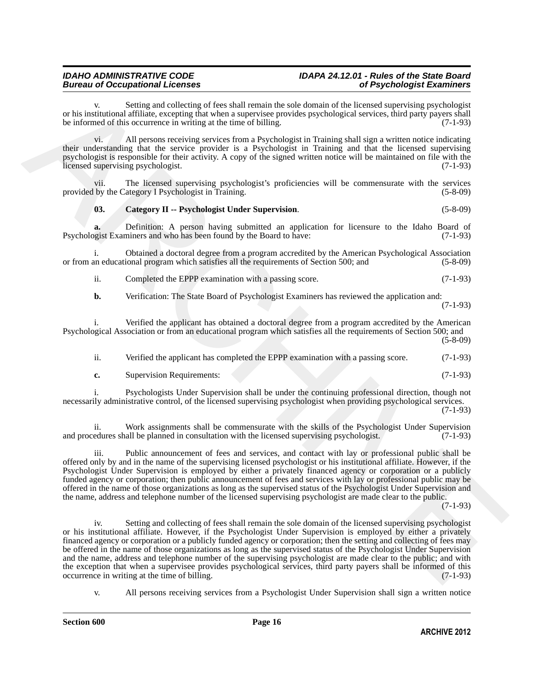### *IDAHO ADMINISTRATIVE CODE IDAPA 24.12.01 - Rules of the State Board Bureau of Occupational Licenses of Psychologist Examiners*

Setting and collecting of fees shall remain the sole domain of the licensed supervising psychologist or his institutional affiliate, excepting that when a supervisee provides psychological services, third party payers shall<br>be informed of this occurrence in writing at the time of billing. be informed of this occurrence in writing at the time of billing.

vi. All persons receiving services from a Psychologist in Training shall sign a written notice indicating their understanding that the service provider is a Psychologist in Training and that the licensed supervising psychologist is responsible for their activity. A copy of the signed written notice will be maintained on file with the licensed supervising psychologist. (7-1-93)

vii. The licensed supervising psychologist's proficiencies will be commensurate with the services by the Category I Psychologist in Training. (5-8-09) provided by the Category I Psychologist in Training.

### <span id="page-15-0"></span>**03. Category II -- Psychologist Under Supervision**. (5-8-09)

**a.** Definition: A person having submitted an application for licensure to the Idaho Board of operations and who has been found by the Board to have: (7-1-93) Psychologist Examiners and who has been found by the Board to have:

i. Obtained a doctoral degree from a program accredited by the American Psychological Association or from an educational program which satisfies all the requirements of Section 500; and (5-8-09)

ii. Completed the EPPP examination with a passing score. (7-1-93)

**b.** Verification: The State Board of Psychologist Examiners has reviewed the application and:

(7-1-93)

i. Verified the applicant has obtained a doctoral degree from a program accredited by the American Psychological Association or from an educational program which satisfies all the requirements of Section 500; and (5-8-09)

ii. Verified the applicant has completed the EPPP examination with a passing score. (7-1-93)

**c.** Supervision Requirements: (7-1-93)

i. Psychologists Under Supervision shall be under the continuing professional direction, though not necessarily administrative control, of the licensed supervising psychologist when providing psychological services. (7-1-93)

ii. Work assignments shall be commensurate with the skills of the Psychologist Under Supervision and procedures shall be planned in consultation with the licensed supervising psychologist. (7-1-93)

iii. Public announcement of fees and services, and contact with lay or professional public shall be offered only by and in the name of the supervising licensed psychologist or his institutional affiliate. However, if the Psychologist Under Supervision is employed by either a privately financed agency or corporation or a publicly funded agency or corporation; then public announcement of fees and services with lay or professional public may be offered in the name of those organizations as long as the supervised status of the Psychologist Under Supervision and the name, address and telephone number of the licensed supervising psychologist are made clear to the public.

(7-1-93)

or its institution software and other interest of the bar bar in metallic the column of the location probable priorite in the state of the interest of the China of the China of the China of the China of the China of the C iv. Setting and collecting of fees shall remain the sole domain of the licensed supervising psychologist or his institutional affiliate. However, if the Psychologist Under Supervision is employed by either a privately financed agency or corporation or a publicly funded agency or corporation; then the setting and collecting of fees may be offered in the name of those organizations as long as the supervised status of the Psychologist Under Supervision and the name, address and telephone number of the supervising psychologist are made clear to the public; and with the exception that when a supervisee provides psychological services, third party payers shall be informed of this occurrence in writing at the time of billing. (7-1-93) occurrence in writing at the time of billing.

v. All persons receiving services from a Psychologist Under Supervision shall sign a written notice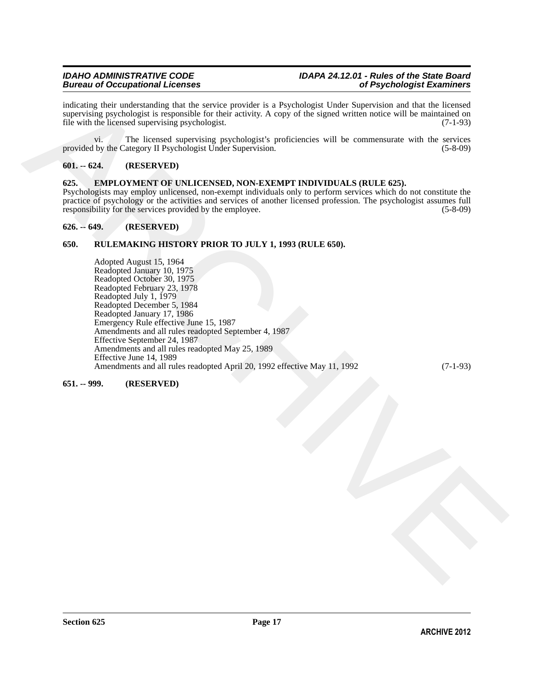indicating their understanding that the service provider is a Psychologist Under Supervision and that the licensed supervising psychologist is responsible for their activity. A copy of the signed written notice will be maintained on file with the licensed supervising psychologist. (7-1-93)

vi. The licensed supervising psychologist's proficiencies will be commensurate with the services provided by the Category II Psychologist Under Supervision. (5-8-09) (5-8-09)

### <span id="page-16-0"></span>**601. -- 624. (RESERVED)**

### <span id="page-16-5"></span><span id="page-16-1"></span>**625. EMPLOYMENT OF UNLICENSED, NON-EXEMPT INDIVIDUALS (RULE 625).**

Psychologists may employ unlicensed, non-exempt individuals only to perform services which do not constitute the practice of psychology or the activities and services of another licensed profession. The psychologist assumes full responsibility for the services provided by the employee. (5-8-09) responsibility for the services provided by the employee.

### <span id="page-16-2"></span>**626. -- 649. (RESERVED)**

### <span id="page-16-3"></span>**650. RULEMAKING HISTORY PRIOR TO JULY 1, 1993 (RULE 650).**

including their materials that the various provide is a Deychologic Uniter Signetial in an and that the location of the internal inclusion of the state of the state of the state of the state of the state of the state of t Adopted August 15, 1964 Readopted January 10, 1975 Readopted October 30, 1975 Readopted February 23, 1978 Readopted July 1, 1979 Readopted December 5, 1984 Readopted January 17, 1986 Emergency Rule effective June 15, 1987 Amendments and all rules readopted September 4, 1987 Effective September 24, 1987 Amendments and all rules readopted May 25, 1989 Effective June 14, 1989 Amendments and all rules readopted April 20, 1992 effective May 11, 1992 (7-1-93)

### <span id="page-16-4"></span>**651. -- 999. (RESERVED)**